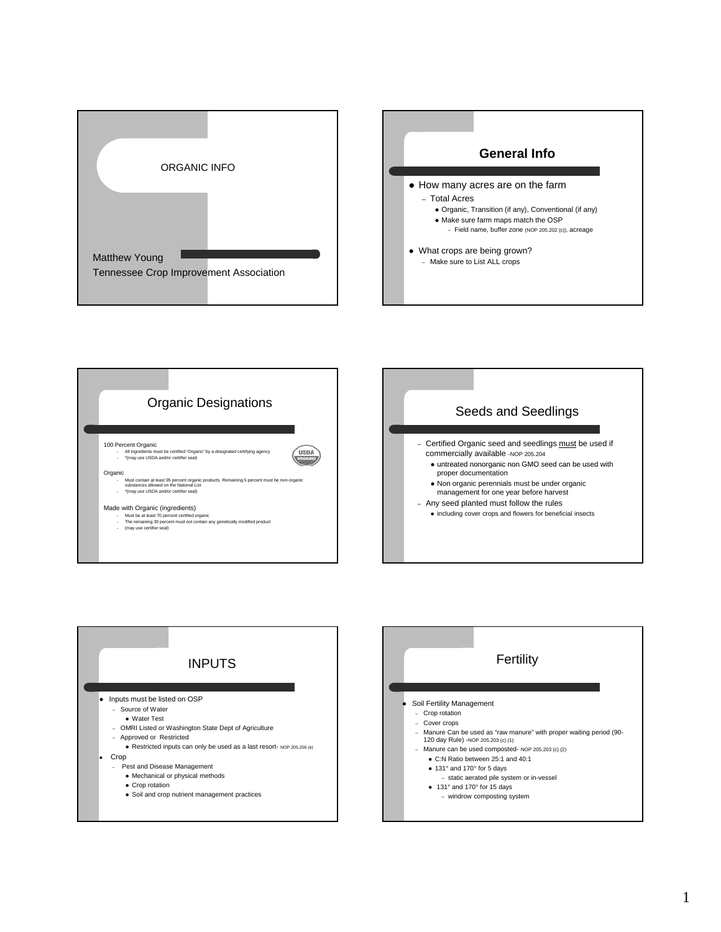







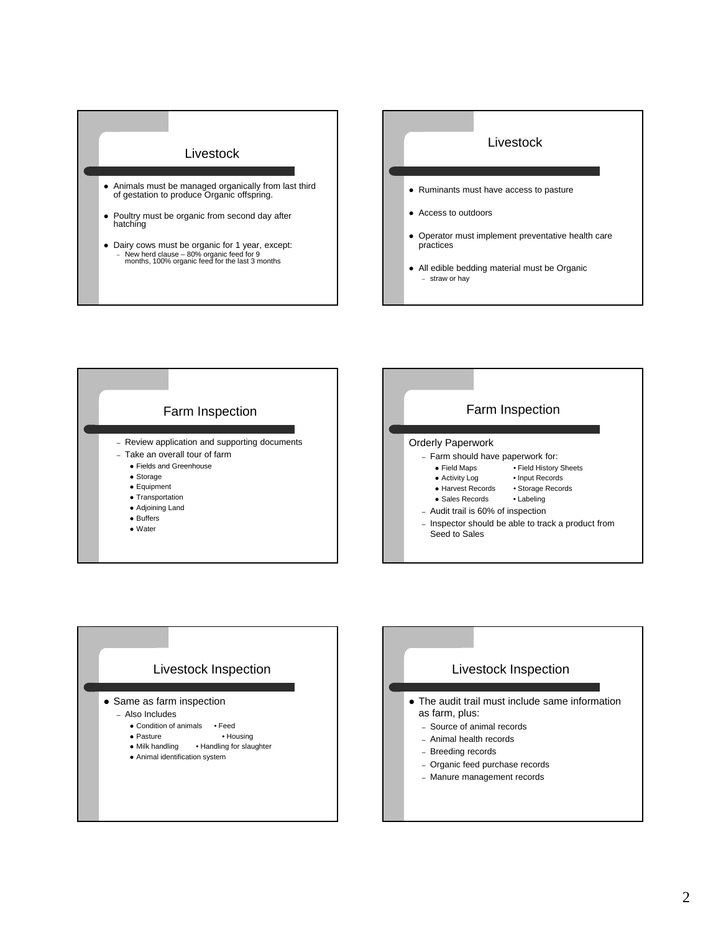

- Poultry must be organic from second day after hatching
- Dairy cows must be organic for 1 year, except: – New herd clause – 80% organic feed for 9 months, 100% organic feed for the last 3 months

## Livestock

- Ruminants must have access to pasture
- Access to outdoors
- Operator must implement preventative health care practices
- All edible bedding material must be Organic – straw or hay